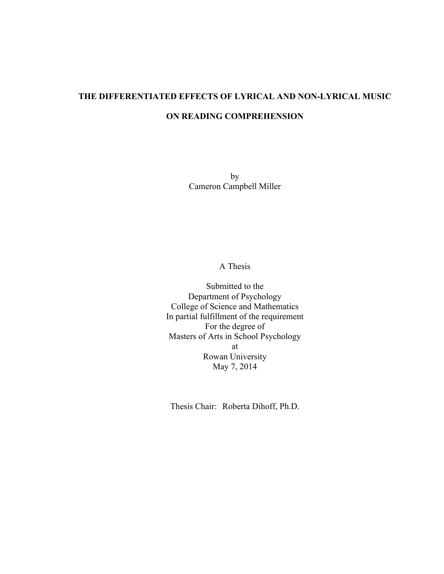# **THE DIFFERENTIATED EFFECTS OF LYRICAL AND NON-LYRICAL MUSIC ON READING COMPREHENSION**

by Cameron Campbell Miller

A Thesis

Submitted to the Department of Psychology College of Science and Mathematics In partial fulfillment of the requirement For the degree of Masters of Arts in School Psychology at Rowan University May 7, 2014

Thesis Chair: Roberta Dihoff, Ph.D.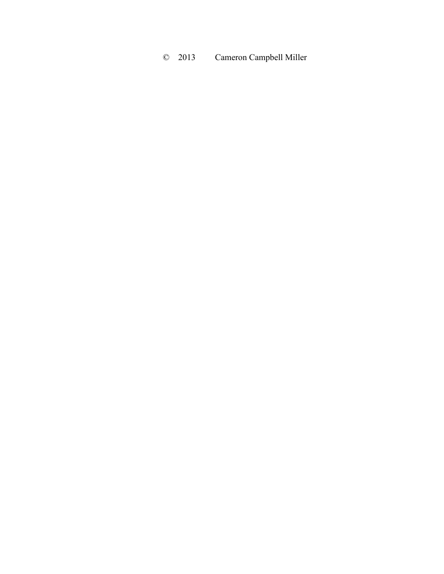# © 2013 Cameron Campbell Miller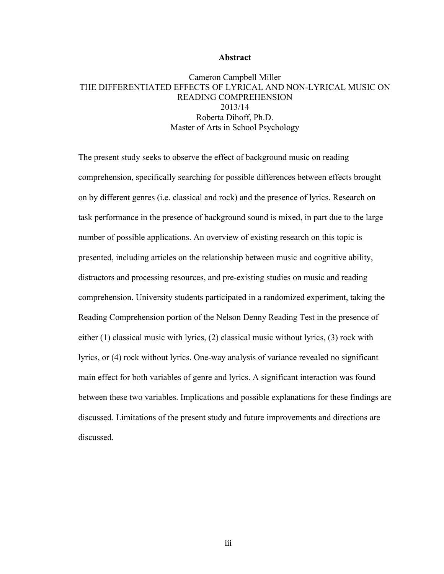## **Abstract**

## Cameron Campbell Miller THE DIFFERENTIATED EFFECTS OF LYRICAL AND NON-LYRICAL MUSIC ON READING COMPREHENSION 2013/14 Roberta Dihoff, Ph.D. Master of Arts in School Psychology

The present study seeks to observe the effect of background music on reading comprehension, specifically searching for possible differences between effects brought on by different genres (i.e. classical and rock) and the presence of lyrics. Research on task performance in the presence of background sound is mixed, in part due to the large number of possible applications. An overview of existing research on this topic is presented, including articles on the relationship between music and cognitive ability, distractors and processing resources, and pre-existing studies on music and reading comprehension. University students participated in a randomized experiment, taking the Reading Comprehension portion of the Nelson Denny Reading Test in the presence of either (1) classical music with lyrics, (2) classical music without lyrics, (3) rock with lyrics, or (4) rock without lyrics. One-way analysis of variance revealed no significant main effect for both variables of genre and lyrics. A significant interaction was found between these two variables. Implications and possible explanations for these findings are discussed. Limitations of the present study and future improvements and directions are discussed.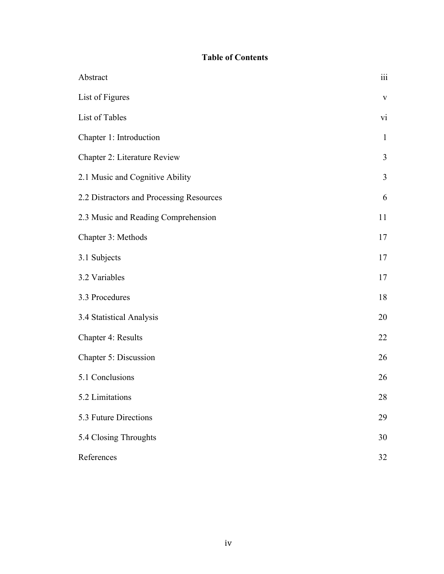## **Table of Contents**

| Abstract                                 | $\rm iii$    |
|------------------------------------------|--------------|
| List of Figures                          | $\mathbf{V}$ |
| List of Tables                           | vi           |
| Chapter 1: Introduction                  | $\mathbf{1}$ |
| Chapter 2: Literature Review             | 3            |
| 2.1 Music and Cognitive Ability          | 3            |
| 2.2 Distractors and Processing Resources | 6            |
| 2.3 Music and Reading Comprehension      | 11           |
| Chapter 3: Methods                       | 17           |
| 3.1 Subjects                             | 17           |
| 3.2 Variables                            | 17           |
| 3.3 Procedures                           | 18           |
| 3.4 Statistical Analysis                 | 20           |
| Chapter 4: Results                       | 22           |
| Chapter 5: Discussion                    | 26           |
| 5.1 Conclusions                          | 26           |
| 5.2 Limitations                          | 28           |
| 5.3 Future Directions                    | 29           |
| 5.4 Closing Throughts                    | 30           |
| References                               | 32           |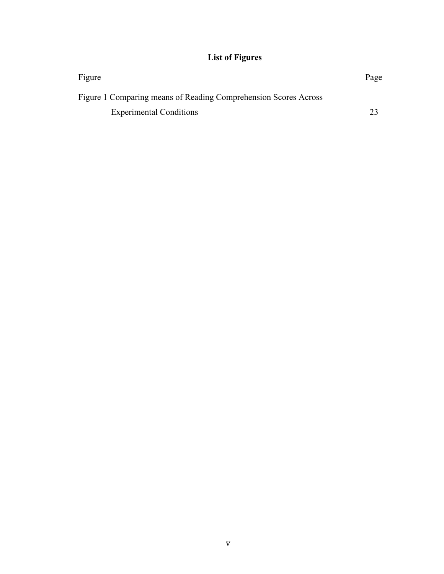## **List of Figures**

| Figure                                                          | Page |
|-----------------------------------------------------------------|------|
| Figure 1 Comparing means of Reading Comprehension Scores Across |      |
| <b>Experimental Conditions</b>                                  |      |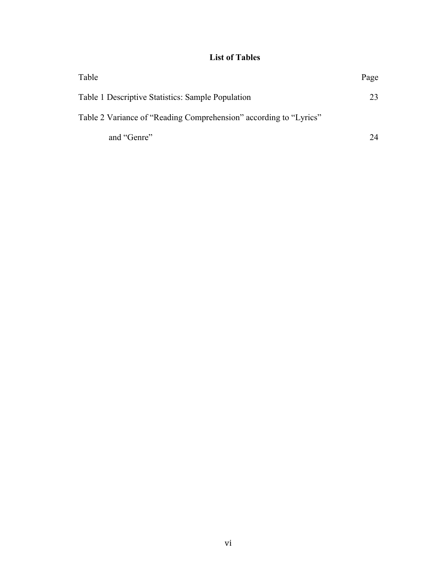## **List of Tables**

| Table                                                             | Page |
|-------------------------------------------------------------------|------|
| Table 1 Descriptive Statistics: Sample Population                 | 23   |
| Table 2 Variance of "Reading Comprehension" according to "Lyrics" |      |
| and "Genre"                                                       | 24   |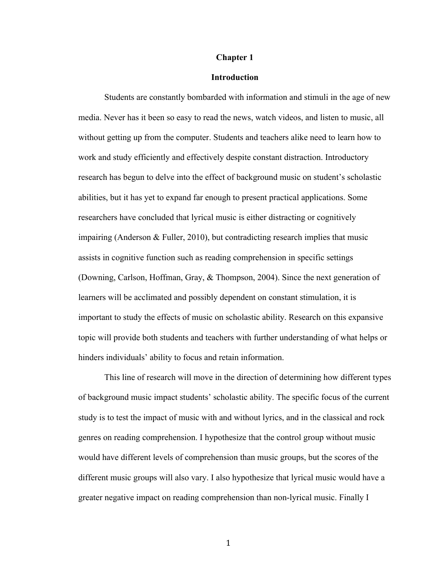## **Chapter 1**

## **Introduction**

Students are constantly bombarded with information and stimuli in the age of new media. Never has it been so easy to read the news, watch videos, and listen to music, all without getting up from the computer. Students and teachers alike need to learn how to work and study efficiently and effectively despite constant distraction. Introductory research has begun to delve into the effect of background music on student's scholastic abilities, but it has yet to expand far enough to present practical applications. Some researchers have concluded that lyrical music is either distracting or cognitively impairing (Anderson & Fuller, 2010), but contradicting research implies that music assists in cognitive function such as reading comprehension in specific settings (Downing, Carlson, Hoffman, Gray, & Thompson, 2004). Since the next generation of learners will be acclimated and possibly dependent on constant stimulation, it is important to study the effects of music on scholastic ability. Research on this expansive topic will provide both students and teachers with further understanding of what helps or hinders individuals' ability to focus and retain information.

This line of research will move in the direction of determining how different types of background music impact students' scholastic ability. The specific focus of the current study is to test the impact of music with and without lyrics, and in the classical and rock genres on reading comprehension. I hypothesize that the control group without music would have different levels of comprehension than music groups, but the scores of the different music groups will also vary. I also hypothesize that lyrical music would have a greater negative impact on reading comprehension than non-lyrical music. Finally I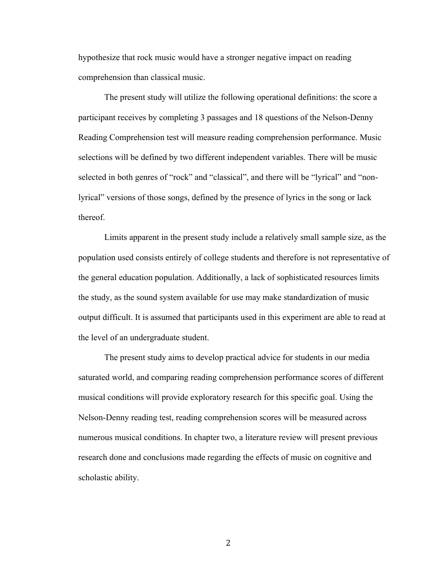hypothesize that rock music would have a stronger negative impact on reading comprehension than classical music.

The present study will utilize the following operational definitions: the score a participant receives by completing 3 passages and 18 questions of the Nelson-Denny Reading Comprehension test will measure reading comprehension performance. Music selections will be defined by two different independent variables. There will be music selected in both genres of "rock" and "classical", and there will be "lyrical" and "nonlyrical" versions of those songs, defined by the presence of lyrics in the song or lack thereof.

Limits apparent in the present study include a relatively small sample size, as the population used consists entirely of college students and therefore is not representative of the general education population. Additionally, a lack of sophisticated resources limits the study, as the sound system available for use may make standardization of music output difficult. It is assumed that participants used in this experiment are able to read at the level of an undergraduate student.

The present study aims to develop practical advice for students in our media saturated world, and comparing reading comprehension performance scores of different musical conditions will provide exploratory research for this specific goal. Using the Nelson-Denny reading test, reading comprehension scores will be measured across numerous musical conditions. In chapter two, a literature review will present previous research done and conclusions made regarding the effects of music on cognitive and scholastic ability.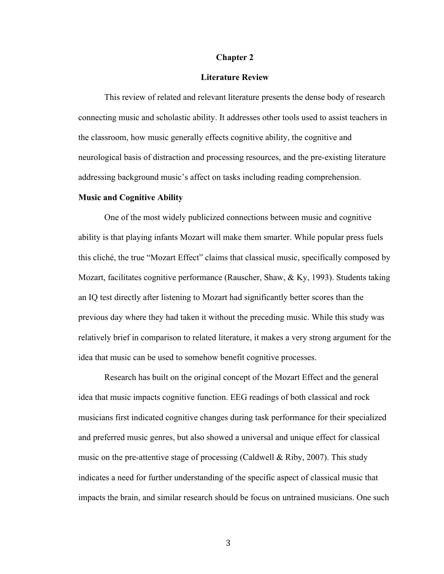## **Chapter 2**

## **Literature Review**

This review of related and relevant literature presents the dense body of research connecting music and scholastic ability. It addresses other tools used to assist teachers in the classroom, how music generally effects cognitive ability, the cognitive and neurological basis of distraction and processing resources, and the pre-existing literature addressing background music's affect on tasks including reading comprehension.

#### **Music and Cognitive Ability**

One of the most widely publicized connections between music and cognitive ability is that playing infants Mozart will make them smarter. While popular press fuels this cliché, the true "Mozart Effect" claims that classical music, specifically composed by Mozart, facilitates cognitive performance (Rauscher, Shaw, & Ky, 1993). Students taking an IQ test directly after listening to Mozart had significantly better scores than the previous day where they had taken it without the preceding music. While this study was relatively brief in comparison to related literature, it makes a very strong argument for the idea that music can be used to somehow benefit cognitive processes.

Research has built on the original concept of the Mozart Effect and the general idea that music impacts cognitive function. EEG readings of both classical and rock musicians first indicated cognitive changes during task performance for their specialized and preferred music genres, but also showed a universal and unique effect for classical music on the pre-attentive stage of processing (Caldwell & Riby, 2007). This study indicates a need for further understanding of the specific aspect of classical music that impacts the brain, and similar research should be focus on untrained musicians. One such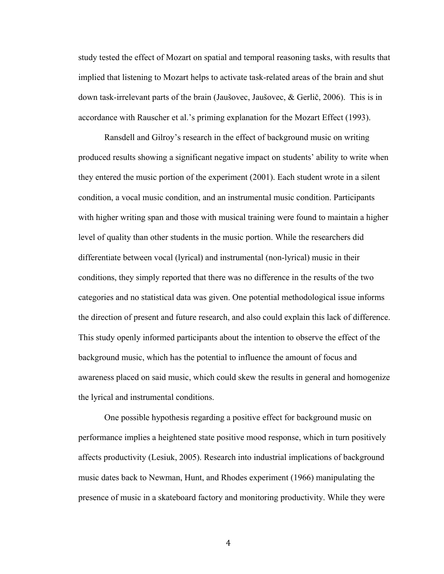study tested the effect of Mozart on spatial and temporal reasoning tasks, with results that implied that listening to Mozart helps to activate task-related areas of the brain and shut down task-irrelevant parts of the brain (Jaušovec, Jaušovec, & Gerlič, 2006). This is in accordance with Rauscher et al.'s priming explanation for the Mozart Effect (1993).

Ransdell and Gilroy's research in the effect of background music on writing produced results showing a significant negative impact on students' ability to write when they entered the music portion of the experiment (2001). Each student wrote in a silent condition, a vocal music condition, and an instrumental music condition. Participants with higher writing span and those with musical training were found to maintain a higher level of quality than other students in the music portion. While the researchers did differentiate between vocal (lyrical) and instrumental (non-lyrical) music in their conditions, they simply reported that there was no difference in the results of the two categories and no statistical data was given. One potential methodological issue informs the direction of present and future research, and also could explain this lack of difference. This study openly informed participants about the intention to observe the effect of the background music, which has the potential to influence the amount of focus and awareness placed on said music, which could skew the results in general and homogenize the lyrical and instrumental conditions.

One possible hypothesis regarding a positive effect for background music on performance implies a heightened state positive mood response, which in turn positively affects productivity (Lesiuk, 2005). Research into industrial implications of background music dates back to Newman, Hunt, and Rhodes experiment (1966) manipulating the presence of music in a skateboard factory and monitoring productivity. While they were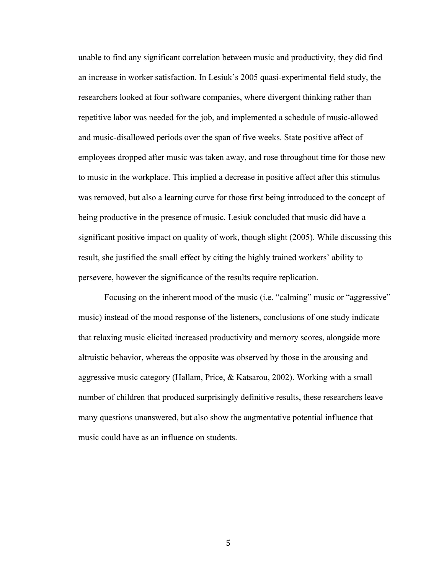unable to find any significant correlation between music and productivity, they did find an increase in worker satisfaction. In Lesiuk's 2005 quasi-experimental field study, the researchers looked at four software companies, where divergent thinking rather than repetitive labor was needed for the job, and implemented a schedule of music-allowed and music-disallowed periods over the span of five weeks. State positive affect of employees dropped after music was taken away, and rose throughout time for those new to music in the workplace. This implied a decrease in positive affect after this stimulus was removed, but also a learning curve for those first being introduced to the concept of being productive in the presence of music. Lesiuk concluded that music did have a significant positive impact on quality of work, though slight (2005). While discussing this result, she justified the small effect by citing the highly trained workers' ability to persevere, however the significance of the results require replication.

Focusing on the inherent mood of the music (i.e. "calming" music or "aggressive" music) instead of the mood response of the listeners, conclusions of one study indicate that relaxing music elicited increased productivity and memory scores, alongside more altruistic behavior, whereas the opposite was observed by those in the arousing and aggressive music category (Hallam, Price, & Katsarou, 2002). Working with a small number of children that produced surprisingly definitive results, these researchers leave many questions unanswered, but also show the augmentative potential influence that music could have as an influence on students.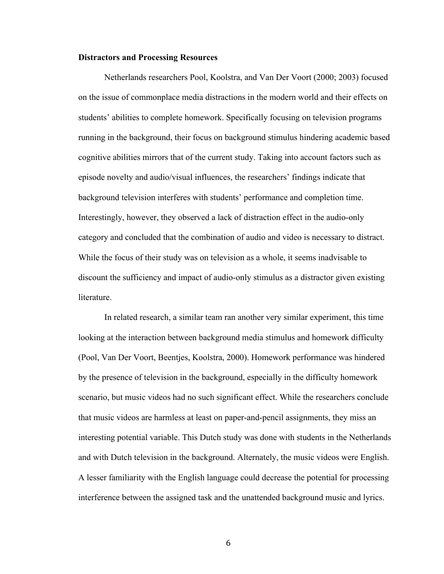#### **Distractors and Processing Resources**

Netherlands researchers Pool, Koolstra, and Van Der Voort (2000; 2003) focused on the issue of commonplace media distractions in the modern world and their effects on students' abilities to complete homework. Specifically focusing on television programs running in the background, their focus on background stimulus hindering academic based cognitive abilities mirrors that of the current study. Taking into account factors such as episode novelty and audio/visual influences, the researchers' findings indicate that background television interferes with students' performance and completion time. Interestingly, however, they observed a lack of distraction effect in the audio-only category and concluded that the combination of audio and video is necessary to distract. While the focus of their study was on television as a whole, it seems inadvisable to discount the sufficiency and impact of audio-only stimulus as a distractor given existing literature.

In related research, a similar team ran another very similar experiment, this time looking at the interaction between background media stimulus and homework difficulty (Pool, Van Der Voort, Beentjes, Koolstra, 2000). Homework performance was hindered by the presence of television in the background, especially in the difficulty homework scenario, but music videos had no such significant effect. While the researchers conclude that music videos are harmless at least on paper-and-pencil assignments, they miss an interesting potential variable. This Dutch study was done with students in the Netherlands and with Dutch television in the background. Alternately, the music videos were English. A lesser familiarity with the English language could decrease the potential for processing interference between the assigned task and the unattended background music and lyrics.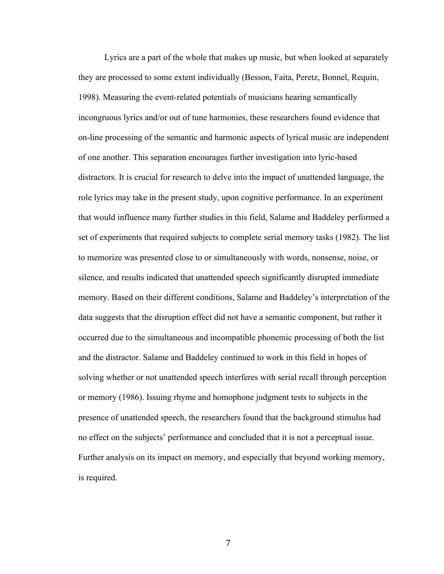Lyrics are a part of the whole that makes up music, but when looked at separately they are processed to some extent individually (Besson, Faita, Peretz, Bonnel, Requin, 1998). Measuring the event-related potentials of musicians hearing semantically incongruous lyrics and/or out of tune harmonies, these researchers found evidence that on-line processing of the semantic and harmonic aspects of lyrical music are independent of one another. This separation encourages further investigation into lyric-based distractors. It is crucial for research to delve into the impact of unattended language, the role lyrics may take in the present study, upon cognitive performance. In an experiment that would influence many further studies in this field, Salame and Baddeley performed a set of experiments that required subjects to complete serial memory tasks (1982). The list to memorize was presented close to or simultaneously with words, nonsense, noise, or silence, and results indicated that unattended speech significantly disrupted immediate memory. Based on their different conditions, Salame and Baddeley's interpretation of the data suggests that the disruption effect did not have a semantic component, but rather it occurred due to the simultaneous and incompatible phonemic processing of both the list and the distractor. Salame and Baddeley continued to work in this field in hopes of solving whether or not unattended speech interferes with serial recall through perception or memory (1986). Issuing rhyme and homophone judgment tests to subjects in the presence of unattended speech, the researchers found that the background stimulus had no effect on the subjects' performance and concluded that it is not a perceptual issue. Further analysis on its impact on memory, and especially that beyond working memory, is required.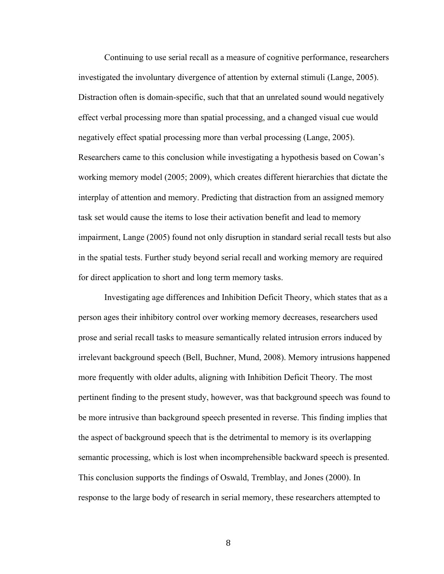Continuing to use serial recall as a measure of cognitive performance, researchers investigated the involuntary divergence of attention by external stimuli (Lange, 2005). Distraction often is domain-specific, such that that an unrelated sound would negatively effect verbal processing more than spatial processing, and a changed visual cue would negatively effect spatial processing more than verbal processing (Lange, 2005). Researchers came to this conclusion while investigating a hypothesis based on Cowan's working memory model (2005; 2009), which creates different hierarchies that dictate the interplay of attention and memory. Predicting that distraction from an assigned memory task set would cause the items to lose their activation benefit and lead to memory impairment, Lange (2005) found not only disruption in standard serial recall tests but also in the spatial tests. Further study beyond serial recall and working memory are required for direct application to short and long term memory tasks.

Investigating age differences and Inhibition Deficit Theory, which states that as a person ages their inhibitory control over working memory decreases, researchers used prose and serial recall tasks to measure semantically related intrusion errors induced by irrelevant background speech (Bell, Buchner, Mund, 2008). Memory intrusions happened more frequently with older adults, aligning with Inhibition Deficit Theory. The most pertinent finding to the present study, however, was that background speech was found to be more intrusive than background speech presented in reverse. This finding implies that the aspect of background speech that is the detrimental to memory is its overlapping semantic processing, which is lost when incomprehensible backward speech is presented. This conclusion supports the findings of Oswald, Tremblay, and Jones (2000). In response to the large body of research in serial memory, these researchers attempted to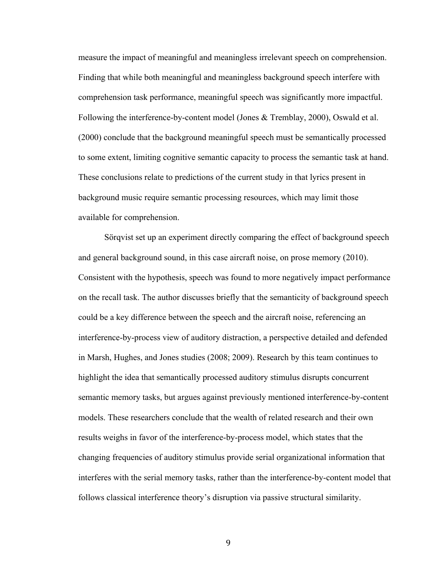measure the impact of meaningful and meaningless irrelevant speech on comprehension. Finding that while both meaningful and meaningless background speech interfere with comprehension task performance, meaningful speech was significantly more impactful. Following the interference-by-content model (Jones & Tremblay, 2000), Oswald et al. (2000) conclude that the background meaningful speech must be semantically processed to some extent, limiting cognitive semantic capacity to process the semantic task at hand. These conclusions relate to predictions of the current study in that lyrics present in background music require semantic processing resources, which may limit those available for comprehension.

Sörqvist set up an experiment directly comparing the effect of background speech and general background sound, in this case aircraft noise, on prose memory (2010). Consistent with the hypothesis, speech was found to more negatively impact performance on the recall task. The author discusses briefly that the semanticity of background speech could be a key difference between the speech and the aircraft noise, referencing an interference-by-process view of auditory distraction, a perspective detailed and defended in Marsh, Hughes, and Jones studies (2008; 2009). Research by this team continues to highlight the idea that semantically processed auditory stimulus disrupts concurrent semantic memory tasks, but argues against previously mentioned interference-by-content models. These researchers conclude that the wealth of related research and their own results weighs in favor of the interference-by-process model, which states that the changing frequencies of auditory stimulus provide serial organizational information that interferes with the serial memory tasks, rather than the interference-by-content model that follows classical interference theory's disruption via passive structural similarity.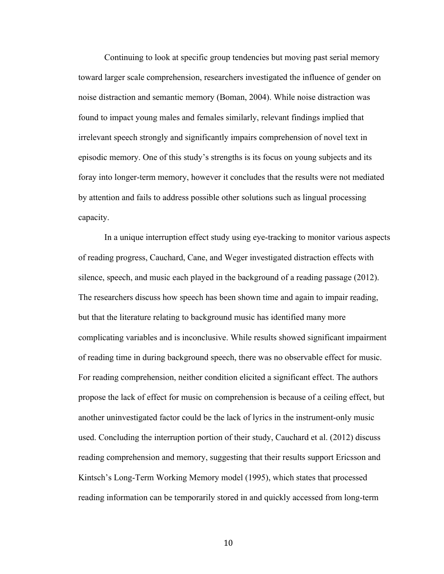Continuing to look at specific group tendencies but moving past serial memory toward larger scale comprehension, researchers investigated the influence of gender on noise distraction and semantic memory (Boman, 2004). While noise distraction was found to impact young males and females similarly, relevant findings implied that irrelevant speech strongly and significantly impairs comprehension of novel text in episodic memory. One of this study's strengths is its focus on young subjects and its foray into longer-term memory, however it concludes that the results were not mediated by attention and fails to address possible other solutions such as lingual processing capacity.

In a unique interruption effect study using eye-tracking to monitor various aspects of reading progress, Cauchard, Cane, and Weger investigated distraction effects with silence, speech, and music each played in the background of a reading passage (2012). The researchers discuss how speech has been shown time and again to impair reading, but that the literature relating to background music has identified many more complicating variables and is inconclusive. While results showed significant impairment of reading time in during background speech, there was no observable effect for music. For reading comprehension, neither condition elicited a significant effect. The authors propose the lack of effect for music on comprehension is because of a ceiling effect, but another uninvestigated factor could be the lack of lyrics in the instrument-only music used. Concluding the interruption portion of their study, Cauchard et al. (2012) discuss reading comprehension and memory, suggesting that their results support Ericsson and Kintsch's Long-Term Working Memory model (1995), which states that processed reading information can be temporarily stored in and quickly accessed from long-term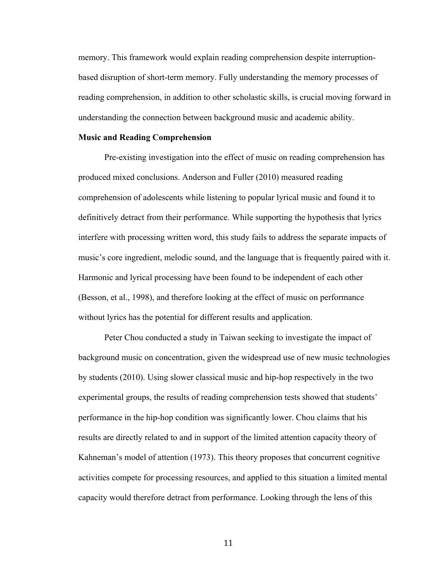memory. This framework would explain reading comprehension despite interruptionbased disruption of short-term memory. Fully understanding the memory processes of reading comprehension, in addition to other scholastic skills, is crucial moving forward in understanding the connection between background music and academic ability.

#### **Music and Reading Comprehension**

Pre-existing investigation into the effect of music on reading comprehension has produced mixed conclusions. Anderson and Fuller (2010) measured reading comprehension of adolescents while listening to popular lyrical music and found it to definitively detract from their performance. While supporting the hypothesis that lyrics interfere with processing written word, this study fails to address the separate impacts of music's core ingredient, melodic sound, and the language that is frequently paired with it. Harmonic and lyrical processing have been found to be independent of each other (Besson, et al., 1998), and therefore looking at the effect of music on performance without lyrics has the potential for different results and application.

Peter Chou conducted a study in Taiwan seeking to investigate the impact of background music on concentration, given the widespread use of new music technologies by students (2010). Using slower classical music and hip-hop respectively in the two experimental groups, the results of reading comprehension tests showed that students' performance in the hip-hop condition was significantly lower. Chou claims that his results are directly related to and in support of the limited attention capacity theory of Kahneman's model of attention (1973). This theory proposes that concurrent cognitive activities compete for processing resources, and applied to this situation a limited mental capacity would therefore detract from performance. Looking through the lens of this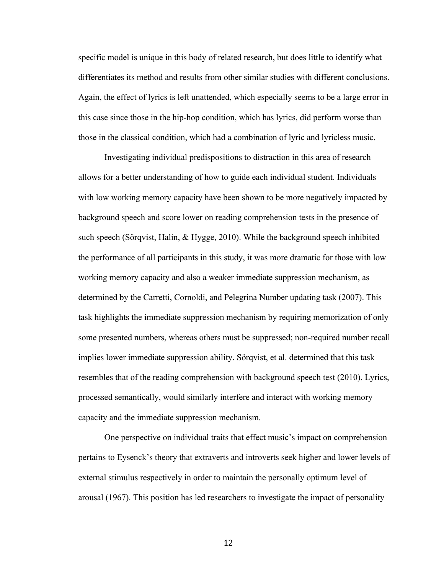specific model is unique in this body of related research, but does little to identify what differentiates its method and results from other similar studies with different conclusions. Again, the effect of lyrics is left unattended, which especially seems to be a large error in this case since those in the hip-hop condition, which has lyrics, did perform worse than those in the classical condition, which had a combination of lyric and lyricless music.

Investigating individual predispositions to distraction in this area of research allows for a better understanding of how to guide each individual student. Individuals with low working memory capacity have been shown to be more negatively impacted by background speech and score lower on reading comprehension tests in the presence of such speech (Sörqvist, Halin, & Hygge, 2010). While the background speech inhibited the performance of all participants in this study, it was more dramatic for those with low working memory capacity and also a weaker immediate suppression mechanism, as determined by the Carretti, Cornoldi, and Pelegrina Number updating task (2007). This task highlights the immediate suppression mechanism by requiring memorization of only some presented numbers, whereas others must be suppressed; non-required number recall implies lower immediate suppression ability. Sörqvist, et al. determined that this task resembles that of the reading comprehension with background speech test (2010). Lyrics, processed semantically, would similarly interfere and interact with working memory capacity and the immediate suppression mechanism.

One perspective on individual traits that effect music's impact on comprehension pertains to Eysenck's theory that extraverts and introverts seek higher and lower levels of external stimulus respectively in order to maintain the personally optimum level of arousal (1967). This position has led researchers to investigate the impact of personality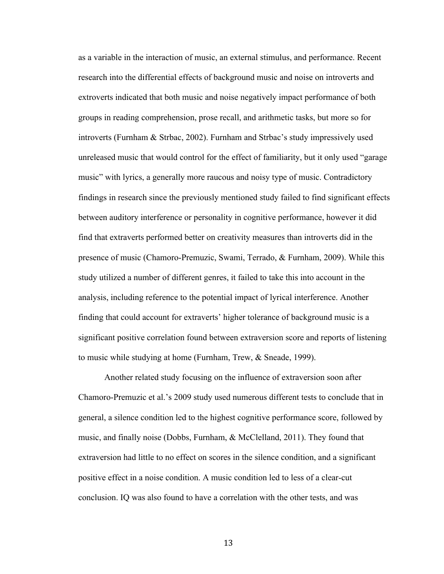as a variable in the interaction of music, an external stimulus, and performance. Recent research into the differential effects of background music and noise on introverts and extroverts indicated that both music and noise negatively impact performance of both groups in reading comprehension, prose recall, and arithmetic tasks, but more so for introverts (Furnham & Strbac, 2002). Furnham and Strbac's study impressively used unreleased music that would control for the effect of familiarity, but it only used "garage music" with lyrics, a generally more raucous and noisy type of music. Contradictory findings in research since the previously mentioned study failed to find significant effects between auditory interference or personality in cognitive performance, however it did find that extraverts performed better on creativity measures than introverts did in the presence of music (Chamoro-Premuzic, Swami, Terrado, & Furnham, 2009). While this study utilized a number of different genres, it failed to take this into account in the analysis, including reference to the potential impact of lyrical interference. Another finding that could account for extraverts' higher tolerance of background music is a significant positive correlation found between extraversion score and reports of listening to music while studying at home (Furnham, Trew, & Sneade, 1999).

Another related study focusing on the influence of extraversion soon after Chamoro-Premuzic et al.'s 2009 study used numerous different tests to conclude that in general, a silence condition led to the highest cognitive performance score, followed by music, and finally noise (Dobbs, Furnham, & McClelland, 2011). They found that extraversion had little to no effect on scores in the silence condition, and a significant positive effect in a noise condition. A music condition led to less of a clear-cut conclusion. IQ was also found to have a correlation with the other tests, and was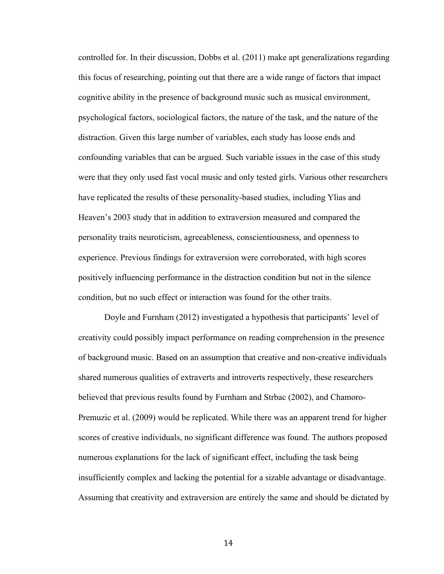controlled for. In their discussion, Dobbs et al. (2011) make apt generalizations regarding this focus of researching, pointing out that there are a wide range of factors that impact cognitive ability in the presence of background music such as musical environment, psychological factors, sociological factors, the nature of the task, and the nature of the distraction. Given this large number of variables, each study has loose ends and confounding variables that can be argued. Such variable issues in the case of this study were that they only used fast vocal music and only tested girls. Various other researchers have replicated the results of these personality-based studies, including Ylias and Heaven's 2003 study that in addition to extraversion measured and compared the personality traits neuroticism, agreeableness, conscientiousness, and openness to experience. Previous findings for extraversion were corroborated, with high scores positively influencing performance in the distraction condition but not in the silence condition, but no such effect or interaction was found for the other traits.

Doyle and Furnham (2012) investigated a hypothesis that participants' level of creativity could possibly impact performance on reading comprehension in the presence of background music. Based on an assumption that creative and non-creative individuals shared numerous qualities of extraverts and introverts respectively, these researchers believed that previous results found by Furnham and Strbac (2002), and Chamoro-Premuzic et al. (2009) would be replicated. While there was an apparent trend for higher scores of creative individuals, no significant difference was found. The authors proposed numerous explanations for the lack of significant effect, including the task being insufficiently complex and lacking the potential for a sizable advantage or disadvantage. Assuming that creativity and extraversion are entirely the same and should be dictated by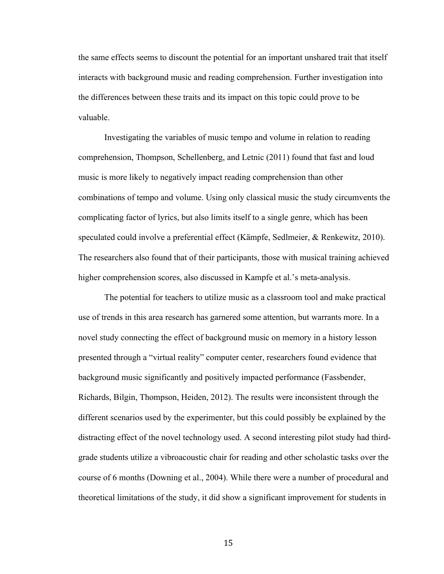the same effects seems to discount the potential for an important unshared trait that itself interacts with background music and reading comprehension. Further investigation into the differences between these traits and its impact on this topic could prove to be valuable.

Investigating the variables of music tempo and volume in relation to reading comprehension, Thompson, Schellenberg, and Letnic (2011) found that fast and loud music is more likely to negatively impact reading comprehension than other combinations of tempo and volume. Using only classical music the study circumvents the complicating factor of lyrics, but also limits itself to a single genre, which has been speculated could involve a preferential effect (Kämpfe, Sedlmeier, & Renkewitz, 2010). The researchers also found that of their participants, those with musical training achieved higher comprehension scores, also discussed in Kampfe et al.'s meta-analysis.

The potential for teachers to utilize music as a classroom tool and make practical use of trends in this area research has garnered some attention, but warrants more. In a novel study connecting the effect of background music on memory in a history lesson presented through a "virtual reality" computer center, researchers found evidence that background music significantly and positively impacted performance (Fassbender, Richards, Bilgin, Thompson, Heiden, 2012). The results were inconsistent through the different scenarios used by the experimenter, but this could possibly be explained by the distracting effect of the novel technology used. A second interesting pilot study had thirdgrade students utilize a vibroacoustic chair for reading and other scholastic tasks over the course of 6 months (Downing et al., 2004). While there were a number of procedural and theoretical limitations of the study, it did show a significant improvement for students in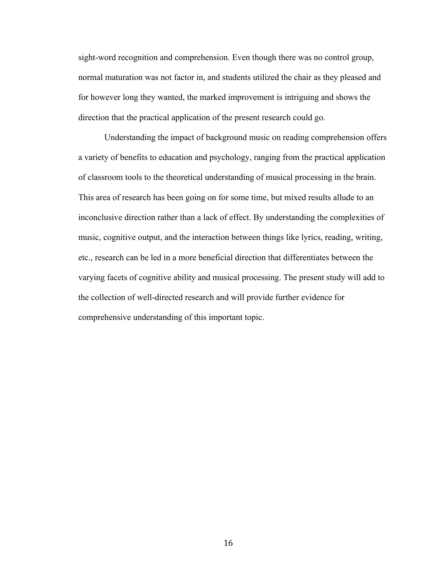sight-word recognition and comprehension. Even though there was no control group, normal maturation was not factor in, and students utilized the chair as they pleased and for however long they wanted, the marked improvement is intriguing and shows the direction that the practical application of the present research could go.

Understanding the impact of background music on reading comprehension offers a variety of benefits to education and psychology, ranging from the practical application of classroom tools to the theoretical understanding of musical processing in the brain. This area of research has been going on for some time, but mixed results allude to an inconclusive direction rather than a lack of effect. By understanding the complexities of music, cognitive output, and the interaction between things like lyrics, reading, writing, etc., research can be led in a more beneficial direction that differentiates between the varying facets of cognitive ability and musical processing. The present study will add to the collection of well-directed research and will provide further evidence for comprehensive understanding of this important topic.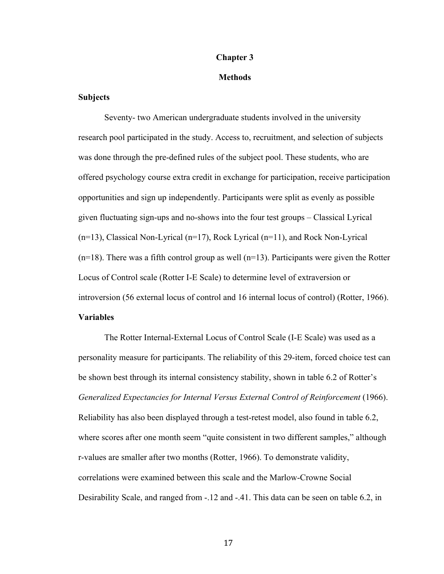### **Chapter 3**

#### **Methods**

## **Subjects**

Seventy- two American undergraduate students involved in the university research pool participated in the study. Access to, recruitment, and selection of subjects was done through the pre-defined rules of the subject pool. These students, who are offered psychology course extra credit in exchange for participation, receive participation opportunities and sign up independently. Participants were split as evenly as possible given fluctuating sign-ups and no-shows into the four test groups – Classical Lyrical (n=13), Classical Non-Lyrical (n=17), Rock Lyrical (n=11), and Rock Non-Lyrical  $(n=18)$ . There was a fifth control group as well  $(n=13)$ . Participants were given the Rotter Locus of Control scale (Rotter I-E Scale) to determine level of extraversion or introversion (56 external locus of control and 16 internal locus of control) (Rotter, 1966). **Variables**

The Rotter Internal-External Locus of Control Scale (I-E Scale) was used as a personality measure for participants. The reliability of this 29-item, forced choice test can be shown best through its internal consistency stability, shown in table 6.2 of Rotter's *Generalized Expectancies for Internal Versus External Control of Reinforcement* (1966). Reliability has also been displayed through a test-retest model, also found in table 6.2, where scores after one month seem "quite consistent in two different samples," although r-values are smaller after two months (Rotter, 1966). To demonstrate validity, correlations were examined between this scale and the Marlow-Crowne Social Desirability Scale, and ranged from -.12 and -.41. This data can be seen on table 6.2, in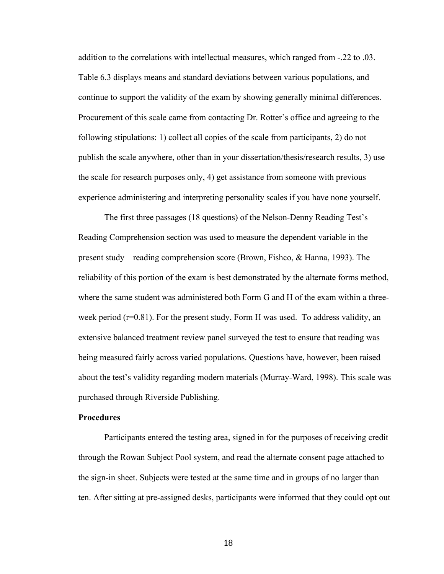addition to the correlations with intellectual measures, which ranged from -.22 to .03. Table 6.3 displays means and standard deviations between various populations, and continue to support the validity of the exam by showing generally minimal differences. Procurement of this scale came from contacting Dr. Rotter's office and agreeing to the following stipulations: 1) collect all copies of the scale from participants, 2) do not publish the scale anywhere, other than in your dissertation/thesis/research results, 3) use the scale for research purposes only, 4) get assistance from someone with previous experience administering and interpreting personality scales if you have none yourself.

The first three passages (18 questions) of the Nelson-Denny Reading Test's Reading Comprehension section was used to measure the dependent variable in the present study – reading comprehension score (Brown, Fishco, & Hanna, 1993). The reliability of this portion of the exam is best demonstrated by the alternate forms method, where the same student was administered both Form G and H of the exam within a threeweek period  $(r=0.81)$ . For the present study, Form H was used. To address validity, an extensive balanced treatment review panel surveyed the test to ensure that reading was being measured fairly across varied populations. Questions have, however, been raised about the test's validity regarding modern materials (Murray-Ward, 1998). This scale was purchased through Riverside Publishing.

## **Procedures**

Participants entered the testing area, signed in for the purposes of receiving credit through the Rowan Subject Pool system, and read the alternate consent page attached to the sign-in sheet. Subjects were tested at the same time and in groups of no larger than ten. After sitting at pre-assigned desks, participants were informed that they could opt out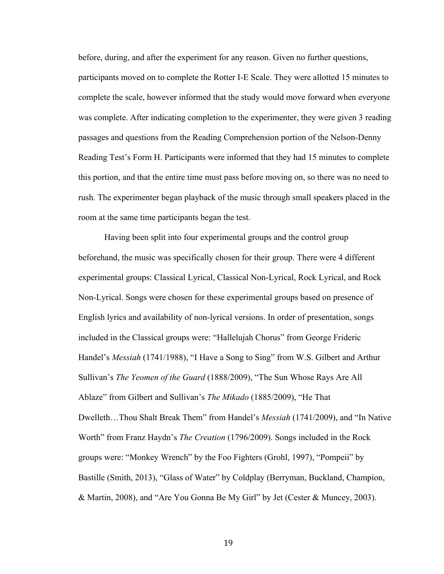before, during, and after the experiment for any reason. Given no further questions, participants moved on to complete the Rotter I-E Scale. They were allotted 15 minutes to complete the scale, however informed that the study would move forward when everyone was complete. After indicating completion to the experimenter, they were given 3 reading passages and questions from the Reading Comprehension portion of the Nelson-Denny Reading Test's Form H. Participants were informed that they had 15 minutes to complete this portion, and that the entire time must pass before moving on, so there was no need to rush. The experimenter began playback of the music through small speakers placed in the room at the same time participants began the test.

Having been split into four experimental groups and the control group beforehand, the music was specifically chosen for their group. There were 4 different experimental groups: Classical Lyrical, Classical Non-Lyrical, Rock Lyrical, and Rock Non-Lyrical. Songs were chosen for these experimental groups based on presence of English lyrics and availability of non-lyrical versions. In order of presentation, songs included in the Classical groups were: "Hallelujah Chorus" from George Frideric Handel's *Messiah* (1741/1988), "I Have a Song to Sing" from W.S. Gilbert and Arthur Sullivan's *The Yeomen of the Guard* (1888/2009), "The Sun Whose Rays Are All Ablaze" from Gilbert and Sullivan's *The Mikado* (1885/2009), "He That Dwelleth…Thou Shalt Break Them" from Handel's *Messiah* (1741/2009), and "In Native Worth" from Franz Haydn's *The Creation* (1796/2009). Songs included in the Rock groups were: "Monkey Wrench" by the Foo Fighters (Grohl, 1997), "Pompeii" by Bastille (Smith, 2013), "Glass of Water" by Coldplay (Berryman, Buckland, Champion, & Martin, 2008), and "Are You Gonna Be My Girl" by Jet (Cester & Muncey, 2003).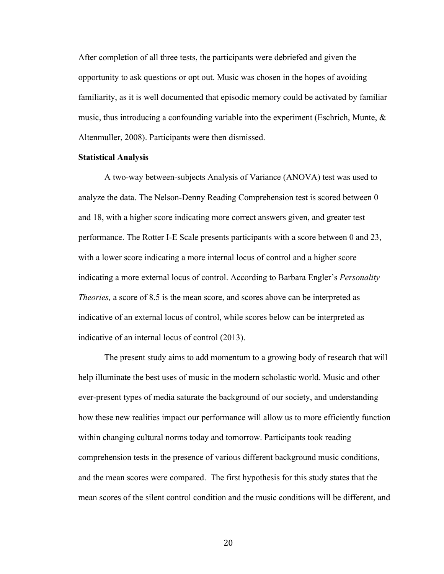After completion of all three tests, the participants were debriefed and given the opportunity to ask questions or opt out. Music was chosen in the hopes of avoiding familiarity, as it is well documented that episodic memory could be activated by familiar music, thus introducing a confounding variable into the experiment (Eschrich, Munte, & Altenmuller, 2008). Participants were then dismissed.

## **Statistical Analysis**

A two-way between-subjects Analysis of Variance (ANOVA) test was used to analyze the data. The Nelson-Denny Reading Comprehension test is scored between 0 and 18, with a higher score indicating more correct answers given, and greater test performance. The Rotter I-E Scale presents participants with a score between 0 and 23, with a lower score indicating a more internal locus of control and a higher score indicating a more external locus of control. According to Barbara Engler's *Personality Theories,* a score of 8.5 is the mean score, and scores above can be interpreted as indicative of an external locus of control, while scores below can be interpreted as indicative of an internal locus of control (2013).

The present study aims to add momentum to a growing body of research that will help illuminate the best uses of music in the modern scholastic world. Music and other ever-present types of media saturate the background of our society, and understanding how these new realities impact our performance will allow us to more efficiently function within changing cultural norms today and tomorrow. Participants took reading comprehension tests in the presence of various different background music conditions, and the mean scores were compared. The first hypothesis for this study states that the mean scores of the silent control condition and the music conditions will be different, and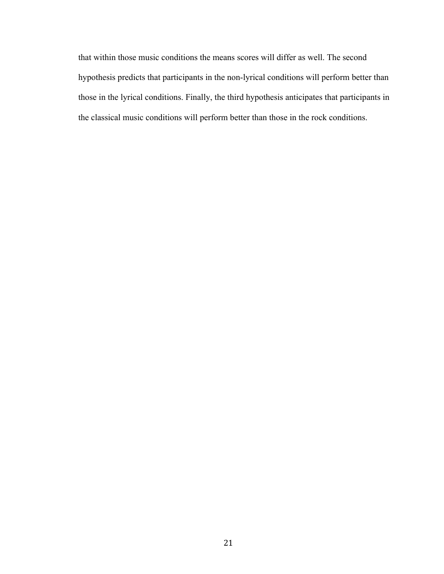that within those music conditions the means scores will differ as well. The second hypothesis predicts that participants in the non-lyrical conditions will perform better than those in the lyrical conditions. Finally, the third hypothesis anticipates that participants in the classical music conditions will perform better than those in the rock conditions.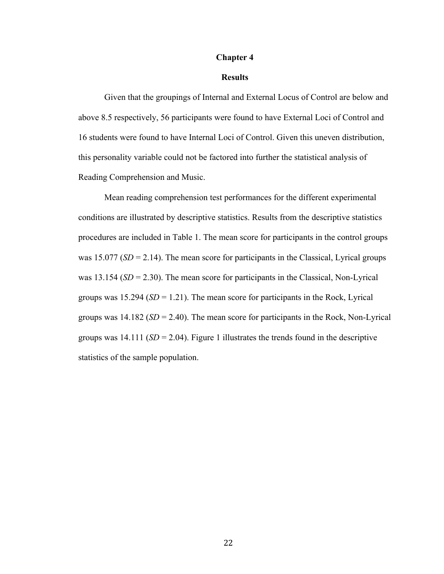#### **Chapter 4**

## **Results**

Given that the groupings of Internal and External Locus of Control are below and above 8.5 respectively, 56 participants were found to have External Loci of Control and 16 students were found to have Internal Loci of Control. Given this uneven distribution, this personality variable could not be factored into further the statistical analysis of Reading Comprehension and Music.

Mean reading comprehension test performances for the different experimental conditions are illustrated by descriptive statistics. Results from the descriptive statistics procedures are included in Table 1. The mean score for participants in the control groups was 15.077 ( $SD = 2.14$ ). The mean score for participants in the Classical, Lyrical groups was 13.154 (*SD* = 2.30). The mean score for participants in the Classical, Non-Lyrical groups was  $15.294$  ( $SD = 1.21$ ). The mean score for participants in the Rock, Lyrical groups was  $14.182$  ( $SD = 2.40$ ). The mean score for participants in the Rock, Non-Lyrical groups was  $14.111$  (*SD* = 2.04). Figure 1 illustrates the trends found in the descriptive statistics of the sample population.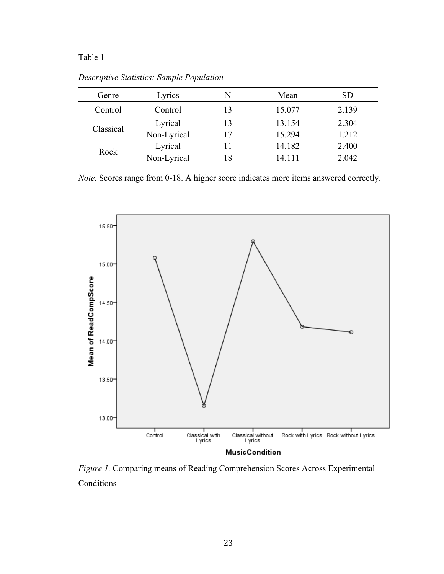## Table 1

*Descriptive Statistics: Sample Population*

| Genre     | Lyrics      | N  | Mean   | SD    |
|-----------|-------------|----|--------|-------|
| Control   | Control     | 13 | 15.077 | 2.139 |
| Classical | Lyrical     | 13 | 13.154 | 2.304 |
|           | Non-Lyrical | 17 | 15.294 | 1.212 |
| Rock      | Lyrical     | 11 | 14.182 | 2.400 |
|           | Non-Lyrical | 18 | 14.111 | 2.042 |

*Note.* Scores range from 0-18. A higher score indicates more items answered correctly.



*Figure 1.* Comparing means of Reading Comprehension Scores Across Experimental **Conditions**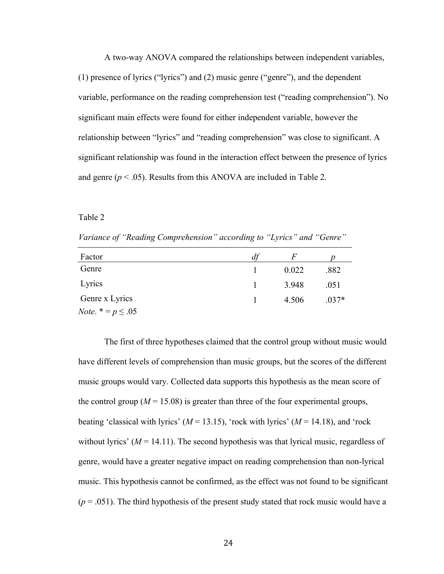A two-way ANOVA compared the relationships between independent variables, (1) presence of lyrics ("lyrics") and (2) music genre ("genre"), and the dependent variable, performance on the reading comprehension test ("reading comprehension"). No significant main effects were found for either independent variable, however the relationship between "lyrics" and "reading comprehension" was close to significant. A significant relationship was found in the interaction effect between the presence of lyrics and genre ( $p < .05$ ). Results from this ANOVA are included in Table 2.

## Table 2

*Variance of "Reading Comprehension" according to "Lyrics" and "Genre"*

| Factor                        | d1 | F     |         |
|-------------------------------|----|-------|---------|
| Genre                         |    | 0.022 | .882    |
| Lyrics                        |    | 3.948 | .051    |
| Genre x Lyrics                |    | 4.506 | $.037*$ |
| <i>Note</i> . $* = p \le .05$ |    |       |         |

The first of three hypotheses claimed that the control group without music would have different levels of comprehension than music groups, but the scores of the different music groups would vary. Collected data supports this hypothesis as the mean score of the control group ( $M = 15.08$ ) is greater than three of the four experimental groups, beating 'classical with lyrics'  $(M = 13.15)$ , 'rock with lyrics'  $(M = 14.18)$ , and 'rock without lyrics'  $(M = 14.11)$ . The second hypothesis was that lyrical music, regardless of genre, would have a greater negative impact on reading comprehension than non-lyrical music. This hypothesis cannot be confirmed, as the effect was not found to be significant  $(p = .051)$ . The third hypothesis of the present study stated that rock music would have a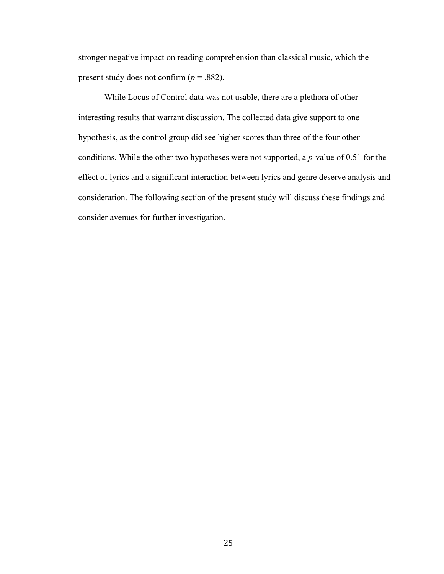stronger negative impact on reading comprehension than classical music, which the present study does not confirm  $(p = .882)$ .

While Locus of Control data was not usable, there are a plethora of other interesting results that warrant discussion. The collected data give support to one hypothesis, as the control group did see higher scores than three of the four other conditions. While the other two hypotheses were not supported, a *p*-value of 0.51 for the effect of lyrics and a significant interaction between lyrics and genre deserve analysis and consideration. The following section of the present study will discuss these findings and consider avenues for further investigation.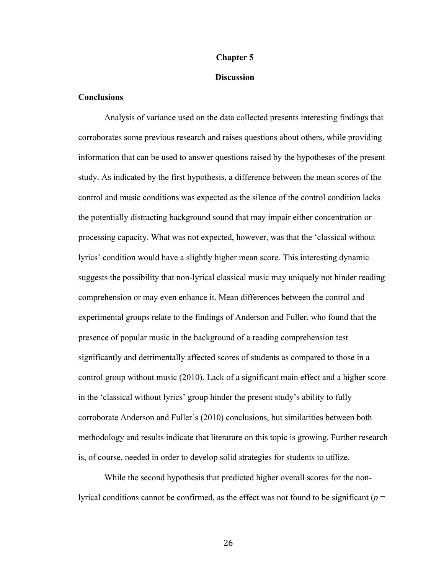### **Chapter 5**

## **Discussion**

## **Conclusions**

Analysis of variance used on the data collected presents interesting findings that corroborates some previous research and raises questions about others, while providing information that can be used to answer questions raised by the hypotheses of the present study. As indicated by the first hypothesis, a difference between the mean scores of the control and music conditions was expected as the silence of the control condition lacks the potentially distracting background sound that may impair either concentration or processing capacity. What was not expected, however, was that the 'classical without lyrics' condition would have a slightly higher mean score. This interesting dynamic suggests the possibility that non-lyrical classical music may uniquely not hinder reading comprehension or may even enhance it. Mean differences between the control and experimental groups relate to the findings of Anderson and Fuller, who found that the presence of popular music in the background of a reading comprehension test significantly and detrimentally affected scores of students as compared to those in a control group without music (2010). Lack of a significant main effect and a higher score in the 'classical without lyrics' group hinder the present study's ability to fully corroborate Anderson and Fuller's (2010) conclusions, but similarities between both methodology and results indicate that literature on this topic is growing. Further research is, of course, needed in order to develop solid strategies for students to utilize.

While the second hypothesis that predicted higher overall scores for the nonlyrical conditions cannot be confirmed, as the effect was not found to be significant ( $p =$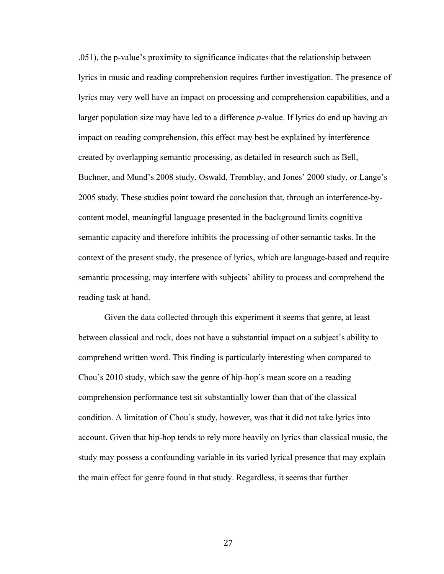.051), the p-value's proximity to significance indicates that the relationship between lyrics in music and reading comprehension requires further investigation. The presence of lyrics may very well have an impact on processing and comprehension capabilities, and a larger population size may have led to a difference *p*-value. If lyrics do end up having an impact on reading comprehension, this effect may best be explained by interference created by overlapping semantic processing, as detailed in research such as Bell, Buchner, and Mund's 2008 study, Oswald, Tremblay, and Jones' 2000 study, or Lange's 2005 study. These studies point toward the conclusion that, through an interference-bycontent model, meaningful language presented in the background limits cognitive semantic capacity and therefore inhibits the processing of other semantic tasks. In the context of the present study, the presence of lyrics, which are language-based and require semantic processing, may interfere with subjects' ability to process and comprehend the reading task at hand.

Given the data collected through this experiment it seems that genre, at least between classical and rock, does not have a substantial impact on a subject's ability to comprehend written word. This finding is particularly interesting when compared to Chou's 2010 study, which saw the genre of hip-hop's mean score on a reading comprehension performance test sit substantially lower than that of the classical condition. A limitation of Chou's study, however, was that it did not take lyrics into account. Given that hip-hop tends to rely more heavily on lyrics than classical music, the study may possess a confounding variable in its varied lyrical presence that may explain the main effect for genre found in that study. Regardless, it seems that further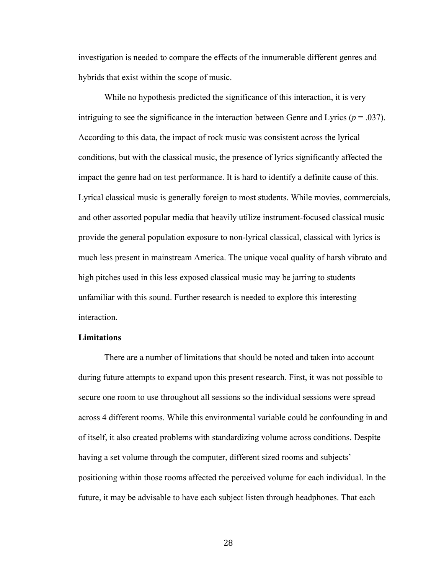investigation is needed to compare the effects of the innumerable different genres and hybrids that exist within the scope of music.

While no hypothesis predicted the significance of this interaction, it is very intriguing to see the significance in the interaction between Genre and Lyrics ( $p = .037$ ). According to this data, the impact of rock music was consistent across the lyrical conditions, but with the classical music, the presence of lyrics significantly affected the impact the genre had on test performance. It is hard to identify a definite cause of this. Lyrical classical music is generally foreign to most students. While movies, commercials, and other assorted popular media that heavily utilize instrument-focused classical music provide the general population exposure to non-lyrical classical, classical with lyrics is much less present in mainstream America. The unique vocal quality of harsh vibrato and high pitches used in this less exposed classical music may be jarring to students unfamiliar with this sound. Further research is needed to explore this interesting interaction.

## **Limitations**

There are a number of limitations that should be noted and taken into account during future attempts to expand upon this present research. First, it was not possible to secure one room to use throughout all sessions so the individual sessions were spread across 4 different rooms. While this environmental variable could be confounding in and of itself, it also created problems with standardizing volume across conditions. Despite having a set volume through the computer, different sized rooms and subjects' positioning within those rooms affected the perceived volume for each individual. In the future, it may be advisable to have each subject listen through headphones. That each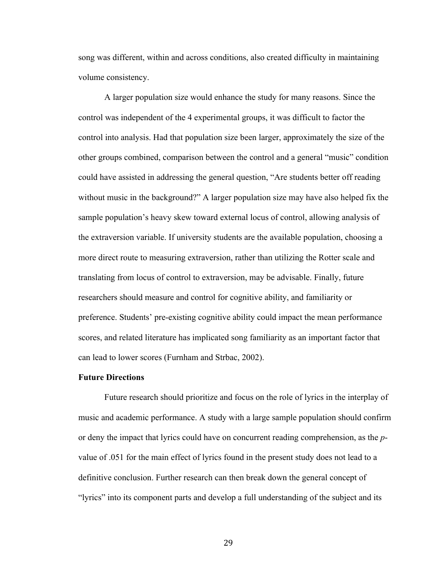song was different, within and across conditions, also created difficulty in maintaining volume consistency.

A larger population size would enhance the study for many reasons. Since the control was independent of the 4 experimental groups, it was difficult to factor the control into analysis. Had that population size been larger, approximately the size of the other groups combined, comparison between the control and a general "music" condition could have assisted in addressing the general question, "Are students better off reading without music in the background?" A larger population size may have also helped fix the sample population's heavy skew toward external locus of control, allowing analysis of the extraversion variable. If university students are the available population, choosing a more direct route to measuring extraversion, rather than utilizing the Rotter scale and translating from locus of control to extraversion, may be advisable. Finally, future researchers should measure and control for cognitive ability, and familiarity or preference. Students' pre-existing cognitive ability could impact the mean performance scores, and related literature has implicated song familiarity as an important factor that can lead to lower scores (Furnham and Strbac, 2002).

#### **Future Directions**

Future research should prioritize and focus on the role of lyrics in the interplay of music and academic performance. A study with a large sample population should confirm or deny the impact that lyrics could have on concurrent reading comprehension, as the *p*value of .051 for the main effect of lyrics found in the present study does not lead to a definitive conclusion. Further research can then break down the general concept of "lyrics" into its component parts and develop a full understanding of the subject and its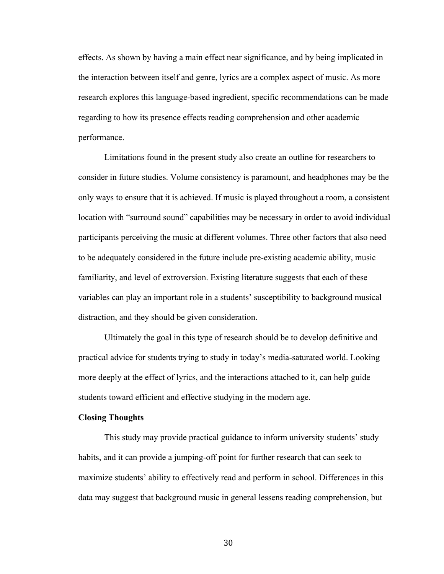effects. As shown by having a main effect near significance, and by being implicated in the interaction between itself and genre, lyrics are a complex aspect of music. As more research explores this language-based ingredient, specific recommendations can be made regarding to how its presence effects reading comprehension and other academic performance.

Limitations found in the present study also create an outline for researchers to consider in future studies. Volume consistency is paramount, and headphones may be the only ways to ensure that it is achieved. If music is played throughout a room, a consistent location with "surround sound" capabilities may be necessary in order to avoid individual participants perceiving the music at different volumes. Three other factors that also need to be adequately considered in the future include pre-existing academic ability, music familiarity, and level of extroversion. Existing literature suggests that each of these variables can play an important role in a students' susceptibility to background musical distraction, and they should be given consideration.

Ultimately the goal in this type of research should be to develop definitive and practical advice for students trying to study in today's media-saturated world. Looking more deeply at the effect of lyrics, and the interactions attached to it, can help guide students toward efficient and effective studying in the modern age.

#### **Closing Thoughts**

This study may provide practical guidance to inform university students' study habits, and it can provide a jumping-off point for further research that can seek to maximize students' ability to effectively read and perform in school. Differences in this data may suggest that background music in general lessens reading comprehension, but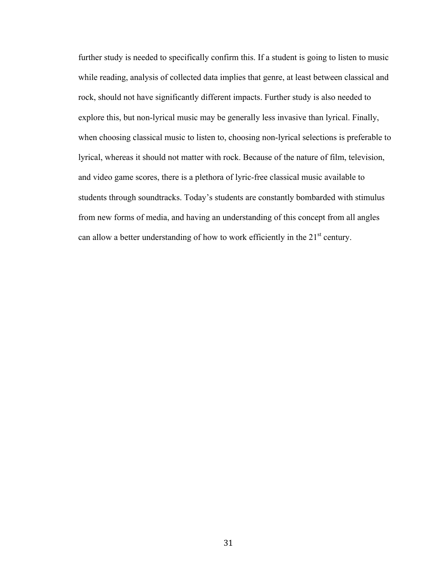further study is needed to specifically confirm this. If a student is going to listen to music while reading, analysis of collected data implies that genre, at least between classical and rock, should not have significantly different impacts. Further study is also needed to explore this, but non-lyrical music may be generally less invasive than lyrical. Finally, when choosing classical music to listen to, choosing non-lyrical selections is preferable to lyrical, whereas it should not matter with rock. Because of the nature of film, television, and video game scores, there is a plethora of lyric-free classical music available to students through soundtracks. Today's students are constantly bombarded with stimulus from new forms of media, and having an understanding of this concept from all angles can allow a better understanding of how to work efficiently in the  $21<sup>st</sup>$  century.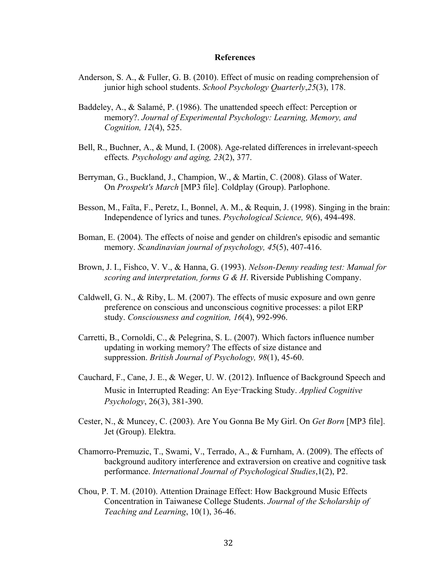#### **References**

- Anderson, S. A., & Fuller, G. B. (2010). Effect of music on reading comprehension of junior high school students. *School Psychology Quarterly*,*25*(3), 178.
- Baddeley, A., & Salamé, P. (1986). The unattended speech effect: Perception or memory?. *Journal of Experimental Psychology: Learning, Memory, and Cognition, 12*(4), 525.
- Bell, R., Buchner, A., & Mund, I. (2008). Age-related differences in irrelevant-speech effects*. Psychology and aging, 23*(2), 377.
- Berryman, G., Buckland, J., Champion, W., & Martin, C. (2008). Glass of Water. On *Prospekt's March* [MP3 file]. Coldplay (Group). Parlophone.
- Besson, M., Faïta, F., Peretz, I., Bonnel, A. M., & Requin, J. (1998). Singing in the brain: Independence of lyrics and tunes. *Psychological Science, 9*(6), 494-498.
- Boman, E. (2004). The effects of noise and gender on children's episodic and semantic memory. *Scandinavian journal of psychology, 45*(5), 407-416.
- Brown, J. I., Fishco, V. V., & Hanna, G. (1993). *Nelson-Denny reading test: Manual for scoring and interpretation, forms G & H*. Riverside Publishing Company.
- Caldwell, G. N., & Riby, L. M. (2007). The effects of music exposure and own genre preference on conscious and unconscious cognitive processes: a pilot ERP study. *Consciousness and cognition, 16*(4), 992-996.
- Carretti, B., Cornoldi, C., & Pelegrina, S. L. (2007). Which factors influence number updating in working memory? The effects of size distance and suppression. *British Journal of Psychology, 98*(1), 45-60.
- Cauchard, F., Cane, J. E., & Weger, U. W. (2012). Influence of Background Speech and Music in Interrupted Reading: An Eye-Tracking Study. *Applied Cognitive Psychology*, 26(3), 381-390.
- Cester, N., & Muncey, C. (2003). Are You Gonna Be My Girl. On *Get Born* [MP3 file]. Jet (Group). Elektra.
- Chamorro-Premuzic, T., Swami, V., Terrado, A., & Furnham, A. (2009). The effects of background auditory interference and extraversion on creative and cognitive task performance. *International Journal of Psychological Studies*,1(2), P2.
- Chou, P. T. M. (2010). Attention Drainage Effect: How Background Music Effects Concentration in Taiwanese College Students. *Journal of the Scholarship of Teaching and Learning*, 10(1), 36-46.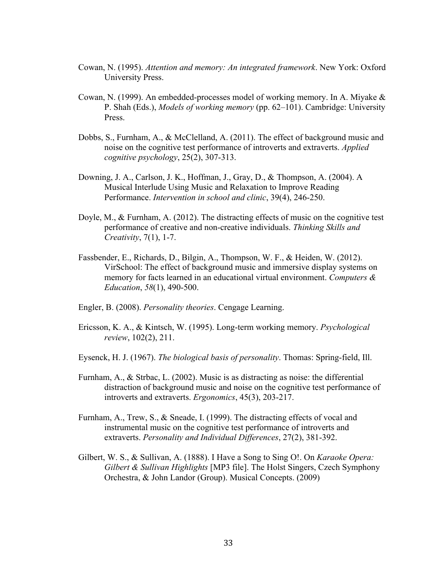- Cowan, N. (1995). *Attention and memory: An integrated framework*. New York: Oxford University Press.
- Cowan, N. (1999). An embedded-processes model of working memory. In A. Miyake & P. Shah (Eds.), *Models of working memory* (pp. 62–101). Cambridge: University Press.
- Dobbs, S., Furnham, A., & McClelland, A. (2011). The effect of background music and noise on the cognitive test performance of introverts and extraverts. *Applied cognitive psychology*, 25(2), 307-313.
- Downing, J. A., Carlson, J. K., Hoffman, J., Gray, D., & Thompson, A. (2004). A Musical Interlude Using Music and Relaxation to Improve Reading Performance. *Intervention in school and clinic*, 39(4), 246-250.
- Doyle, M., & Furnham, A. (2012). The distracting effects of music on the cognitive test performance of creative and non-creative individuals. *Thinking Skills and Creativity*, 7(1), 1-7.
- Fassbender, E., Richards, D., Bilgin, A., Thompson, W. F., & Heiden, W. (2012). VirSchool: The effect of background music and immersive display systems on memory for facts learned in an educational virtual environment. *Computers & Education*, *58*(1), 490-500.
- Engler, B. (2008). *Personality theories*. Cengage Learning.
- Ericsson, K. A., & Kintsch, W. (1995). Long-term working memory. *Psychological review*, 102(2), 211.
- Eysenck, H. J. (1967). *The biological basis of personality*. Thomas: Spring-field, Ill.
- Furnham, A., & Strbac, L. (2002). Music is as distracting as noise: the differential distraction of background music and noise on the cognitive test performance of introverts and extraverts. *Ergonomics*, 45(3), 203-217.
- Furnham, A., Trew, S., & Sneade, I. (1999). The distracting effects of vocal and instrumental music on the cognitive test performance of introverts and extraverts. *Personality and Individual Differences*, 27(2), 381-392.
- Gilbert, W. S., & Sullivan, A. (1888). I Have a Song to Sing O!. On *Karaoke Opera: Gilbert & Sullivan Highlights* [MP3 file]. The Holst Singers, Czech Symphony Orchestra, & John Landor (Group). Musical Concepts. (2009)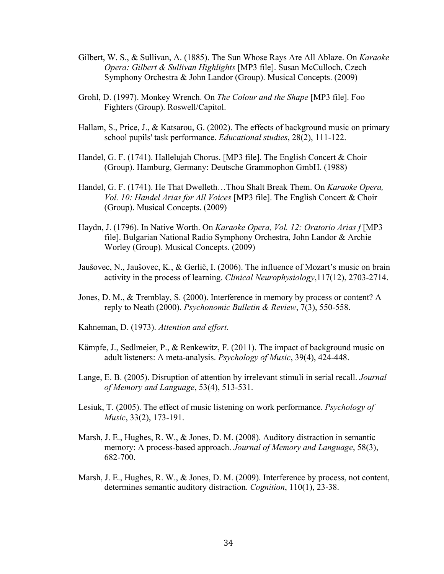- Gilbert, W. S., & Sullivan, A. (1885). The Sun Whose Rays Are All Ablaze. On *Karaoke Opera: Gilbert & Sullivan Highlights* [MP3 file]. Susan McCulloch, Czech Symphony Orchestra & John Landor (Group). Musical Concepts. (2009)
- Grohl, D. (1997). Monkey Wrench. On *The Colour and the Shape* [MP3 file]. Foo Fighters (Group). Roswell/Capitol.
- Hallam, S., Price, J., & Katsarou, G. (2002). The effects of background music on primary school pupils' task performance. *Educational studies*, 28(2), 111-122.
- Handel, G. F. (1741). Hallelujah Chorus. [MP3 file]. The English Concert & Choir (Group). Hamburg, Germany: Deutsche Grammophon GmbH. (1988)
- Handel, G. F. (1741). He That Dwelleth…Thou Shalt Break Them. On *Karaoke Opera, Vol. 10: Handel Arias for All Voices* [MP3 file]. The English Concert & Choir (Group). Musical Concepts. (2009)
- Haydn, J. (1796). In Native Worth. On *Karaoke Opera, Vol. 12: Oratorio Arias f* [MP3 file]. Bulgarian National Radio Symphony Orchestra, John Landor & Archie Worley (Group). Musical Concepts. (2009)
- Jaušovec, N., Jaušovec, K., & Gerlič, I. (2006). The influence of Mozart's music on brain activity in the process of learning. *Clinical Neurophysiology*,117(12), 2703-2714.
- Jones, D. M., & Tremblay, S. (2000). Interference in memory by process or content? A reply to Neath (2000). *Psychonomic Bulletin & Review*, 7(3), 550-558.
- Kahneman, D. (1973). *Attention and effort*.
- Kämpfe, J., Sedlmeier, P., & Renkewitz, F. (2011). The impact of background music on adult listeners: A meta-analysis. *Psychology of Music*, 39(4), 424-448.
- Lange, E. B. (2005). Disruption of attention by irrelevant stimuli in serial recall. *Journal of Memory and Language*, 53(4), 513-531.
- Lesiuk, T. (2005). The effect of music listening on work performance. *Psychology of Music*, 33(2), 173-191.
- Marsh, J. E., Hughes, R. W., & Jones, D. M. (2008). Auditory distraction in semantic memory: A process-based approach. *Journal of Memory and Language*, 58(3), 682-700.
- Marsh, J. E., Hughes, R. W., & Jones, D. M. (2009). Interference by process, not content, determines semantic auditory distraction. *Cognition*, 110(1), 23-38.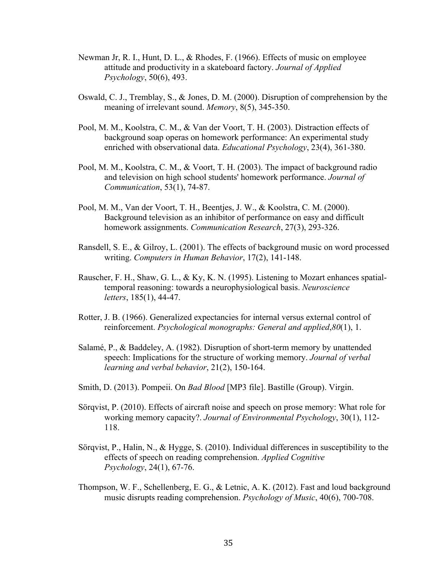- Newman Jr, R. I., Hunt, D. L., & Rhodes, F. (1966). Effects of music on employee attitude and productivity in a skateboard factory. *Journal of Applied Psychology*, 50(6), 493.
- Oswald, C. J., Tremblay, S., & Jones, D. M. (2000). Disruption of comprehension by the meaning of irrelevant sound. *Memory*, 8(5), 345-350.
- Pool, M. M., Koolstra, C. M., & Van der Voort, T. H. (2003). Distraction effects of background soap operas on homework performance: An experimental study enriched with observational data. *Educational Psychology*, 23(4), 361-380.
- Pool, M. M., Koolstra, C. M., & Voort, T. H. (2003). The impact of background radio and television on high school students' homework performance. *Journal of Communication*, 53(1), 74-87.
- Pool, M. M., Van der Voort, T. H., Beentjes, J. W., & Koolstra, C. M. (2000). Background television as an inhibitor of performance on easy and difficult homework assignments. *Communication Research*, 27(3), 293-326.
- Ransdell, S. E., & Gilroy, L. (2001). The effects of background music on word processed writing. *Computers in Human Behavior*, 17(2), 141-148.
- Rauscher, F. H., Shaw, G. L., & Ky, K. N. (1995). Listening to Mozart enhances spatialtemporal reasoning: towards a neurophysiological basis. *Neuroscience letters*, 185(1), 44-47.
- Rotter, J. B. (1966). Generalized expectancies for internal versus external control of reinforcement. *Psychological monographs: General and applied*,*80*(1), 1.
- Salamé, P., & Baddeley, A. (1982). Disruption of short-term memory by unattended speech: Implications for the structure of working memory. *Journal of verbal learning and verbal behavior*, 21(2), 150-164.
- Smith, D. (2013). Pompeii. On *Bad Blood* [MP3 file]. Bastille (Group). Virgin.
- Sörqvist, P. (2010). Effects of aircraft noise and speech on prose memory: What role for working memory capacity?. *Journal of Environmental Psychology*, 30(1), 112- 118.
- Sörqvist, P., Halin, N., & Hygge, S. (2010). Individual differences in susceptibility to the effects of speech on reading comprehension. *Applied Cognitive Psychology*, 24(1), 67-76.
- Thompson, W. F., Schellenberg, E. G., & Letnic, A. K. (2012). Fast and loud background music disrupts reading comprehension. *Psychology of Music*, 40(6), 700-708.